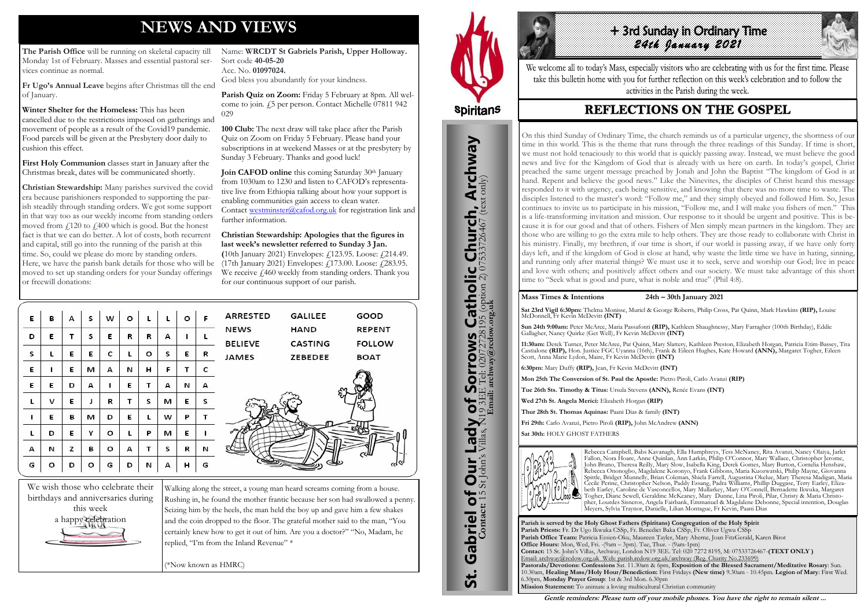# **NEWS AND VIEWS**

**The Parish Office** will be running on skeletal capacity till Monday 1st of February. Masses and essential pastoral services continue as normal.

**Fr Ugo's Annual Leave** begins after Christmas till the end of January.

**Winter Shelter for the Homeless:** This has been cancelled due to the restrictions imposed on gatherings and movement of people as a result of the Covid19 pandemic. Food parcels will be given at the Presbytery door daily to cushion this effect.

**First Holy Communion** classes start in January after the Christmas break, dates will be communicated shortly.

Parish Quiz on Zoom: Friday 5 February at 8pm. All welcome to join. £5 per person. Contact Michelle 07811 942 029

**Christian Stewardship:** Many parishes survived the covid era because parishioners responded to supporting the parish steadily through standing orders. We got some support in that way too as our weekly income from standing orders moved from  $f<sub>120</sub>$  to  $f<sub>1400</sub>$  which is good. But the honest fact is that we can do better. A lot of costs, both recurrent and capital, still go into the running of the parish at this time. So, could we please do more by standing orders. Here, we have the parish bank details for those who will be moved to set up standing orders for your Sunday offerings or freewill donations:

**Join CAFOD online** this coming Saturday 30<sup>th</sup> January from 1030am to 1230 and listen to CAFOD's representative live from Ethiopia talking about how your support is enabling communities gain access to clean water. Contact [westminster@cafod.org.uk](mailto:westminster@cafod.org.uk) for registration link and further information.

Name: **WRCDT St Gabriels Parish, Upper Holloway.**  Sort code **40-05-20** Acc. No. **01097024.** God bless you abundantly for your kindness.

+ 3rd Sunday in Ordinary Time *24th January 2021* 

We welcome all to today's Mass, especially visitors who are celebrating with us for the first time. Please take this bulletin home with you for further reflection on this week's celebration and to follow the activities in the Parish during the week.

# **REFLECTIONS ON THE GOSPEL**

**100 Club:** The next draw will take place after the Parish Quiz on Zoom on Friday 5 February. Please hand your subscriptions in at weekend Masses or at the presbytery by Sunday 3 February. Thanks and good luck!

#### **Christian Stewardship: Apologies that the figures in last week's newsletter referred to Sunday 3 Jan.**

**(**10th January 2021) Envelopes: £123.95. Loose: £214.49. (17th January 2021) Envelopes: £173.00. Loose: £283.95. We receive  $\mu$ 460 weekly from standing orders. Thank you for our continuous support of our parish.

| Ε | в | А | s | w       | o |         | L | $\circ$ | F | ARRESTED       | <b>GALILEE</b> | GOOD          |
|---|---|---|---|---------|---|---------|---|---------|---|----------------|----------------|---------------|
| D | E | т | s | Е       | R | R       | А | ı       |   | <b>NEWS</b>    | <b>HAND</b>    | <b>REPENT</b> |
|   |   |   |   |         |   |         |   |         |   | <b>BELIEVE</b> | <b>CASTING</b> | <b>FOLLOW</b> |
| S | L | E | Е | c       |   | $\circ$ | S | E       | R | <b>JAMES</b>   | ZEBEDEE        | <b>BOAT</b>   |
| Ε | 1 | Ε | м | А       | И | н       | F | т       | с |                |                |               |
| E | E | D | А | ı       | E | т       | А | И       | А |                |                |               |
| L | v | E | J | R       | т | s       | м | E       | s |                |                |               |
| ı | Е | в | м | D       | Е |         | w | Ρ       |   |                |                |               |
| L | D | E | Υ | $\circ$ | L | P       | м | Е       |   |                |                |               |
| А | И | z | в | o       | А | т       | s | R       | И |                |                |               |
| G | o | D | o | G       | D | N       | А | н       | G |                |                |               |



Walking along the street, a young man heard screams coming from a house. Rushing in, he found the mother frantic because her son had swallowed a penny. Seizing him by the heels, the man held the boy up and gave him a few shakes and the coin dropped to the floor. The grateful mother said to the man, "You certainly knew how to get it out of him. Are you a doctor?" "No, Madam, he replied, "I'm from the Inland Revenue" \*

(\*Now known as HMRC)



**Parish is served by the Holy Ghost Fathers (Spiritans) Congregation of the Holy Spirit Parish Priests:** Fr. Dr Ugo Ikwuka CSSp, Fr. Benedict Baka CSSp, Fr. Oliver Ugwu CSSp **Parish Office Team:** Patricia Essien-Oku, Maureen Tayler, Mary Aherne, Joan FitzGerald, Karen Birot **Office Hours:** Mon, Wed, Fri. -(9am – 3pm). Tue, Thur. - (9am-1pm) **Contact:** 15 St. John's Villas, Archway, London N19 3EE. Tel: 020 7272 8195, M: 07533726467-**(TEXT ONLY )** Email: archway@rcdow.org.uk Web: parish.rcdow.org.uk/archway (Reg. Charity No.233699) **Pastorals/Devotions: Confessions** Sat. 11.30am & 6pm, **Exposition of the Blessed Sacrament/Meditative Rosary**: Sun. 10.30am, **Healing Mass/Holy Hour/Benediction:** First Fridays **(New time)** 9.30am - 10.45pm. **Legion of Mary**: First Wed. 6.30pm, **Monday Prayer Group**: 1st & 3rd Mon. 6.30pm **Mission Statement:** To animate a loving multicultural Christian community



#### **Mass Times & Intentions 24th – 30th January 2021**

**Sat 23rd Vigil 6:30pm:** Thelma Monisse, Muriel & George Roberts, Philip Cross, Pat Quinn, Mark Hawkins **(RIP),** Louise McDonnell, Fr Kevin McDevitt **(INT)**

**Sun 24th 9:00am:** Peter McAree, Maria Passafonti **(RIP),** Kathleen Shaughnessy, Mary Farragher (100th Birthday), Eddie Gallagher, Nancy Quirke (Get Well), Fr Kevin McDevitt **(INT)**

**11:30am:** Derek Turner, Peter McAree, Pat Quinn, Mary Slattery, Kathleen Preston, Elizabeth Horgan, Patricia Etim-Bassey, Tita Castialone **(RIP),** Hon. Justice FGC Uyanna (16th), Frank & Eileen Hughes, Kate Howard **(ANN),** Margaret Togher, Eileen Scott, Anna Marie Lydon, Maire, Fr Kevin McDevitt **(INT)**

**6:30pm:** Mary Duffy **(RIP),** Jean, Fr Kevin McDevitt **(INT)**

**Mon 25th The Conversion of St. Paul the Apostle:** Pietro Piroli, Carlo Avanzi **(RIP)**

**Tue 26th Sts. Timothy & Titus:** Ursula Stevens **(ANN),** Renée Evans **(INT)**

**Wed 27th St. Angela Merici:** Elizabeth Horgan **(RIP)**

**Thur 28th St. Thomas Aquinas:** Paani Dias & family **(INT)**

**Fri 29th:** Carlo Avanzi, Pietro Piroli **(RIP),** John McAndrew **(ANN) Sat 30th:** HOLY GHOST FATHERS



Rebecca Campbell, Babs Kavanagh, Ella Humphreys, Tess McNaney, Rita Avanzi, Nancy Olaiya, Jarlet Fallon, Nora Hoare, Anne Quinlan, Ann Larkin, Philip O'Connor, Mary Wallace, Christopher Jerome, John Bruno, Theresa Reilly, Mary Slow, Isabella King, Derek Gomes, Mary Burton, Cornelia Henshaw, Rebecca Ononogbo, Magdalene Koronyo, Frank Gibbons, Maria Kuozwatski, Philip Mayne, Giovanna Spittle, Bridget Munnelly, Brian Coleman, Shiela Farrell, Augustina Okelue, Mary Theresa Madigan, Maria Cecile Perine, Christopher Nelson, Paddy Essang, Padra Williams, Phillip Duggase, Terry Earley, Elizabeth Earley, Caroline de Vasconcellos, Mary Mullarkey, Mary O'Connell, Bernadette Ikwuka, Margaret Togher, Diane Sewell, Geraldine McKeaney, Mary Dunne, Lina Piroli, Pilar, Christy & Maria Christopher, Lourdes Sisneros, Angela Fairbank, Emmanuel & Magdalene Debonne, Special intention, Douglas Meyers, Sylvia Traynor, Danielle, Lilian Montague, Fr Kevin, Paani Dias

**Gentle reminders: Please turn off your mobile phones. You have the right to remain silent ...** 

On this third Sunday of Ordinary Time, the church reminds us of a particular urgency, the shortness of our time in this world. This is the theme that runs through the three readings of this Sunday. If time is short, we must not hold tenaciously to this world that is quickly passing away. Instead, we must believe the good news and live for the Kingdom of God that is already with us here on earth. In today's gospel, Christ preached the same urgent message preached by Jonah and John the Baptist "The kingdom of God is at hand. Repent and believe the good news." Like the Ninevites, the disciples of Christ heard this message responded to it with urgency, each being sensitive, and knowing that there was no more time to waste. The disciples listened to the master's word: "Follow me," and they simply obeyed and followed Him. So, Jesus continues to invite us to participate in his mission, "Follow me, and I will make you fishers of men." This is a life-transforming invitation and mission. Our response to it should be urgent and positive. This is because it is for our good and that of others. Fishers of Men simply mean partners in the kingdom. They are those who are willing to go the extra mile to help others. They are those ready to collaborate with Christ in his ministry. Finally, my brethren, if our time is short, if our world is passing away, if we have only forty days left, and if the kingdom of God is close at hand, why waste the little time we have in hating, sinning, and running only after material things? We must use it to seek, serve and worship our God; live in peace and love with others; and positively affect others and our society. We must take advantage of this short time to "Seek what is good and pure, what is noble and true" (Phil 4:8).